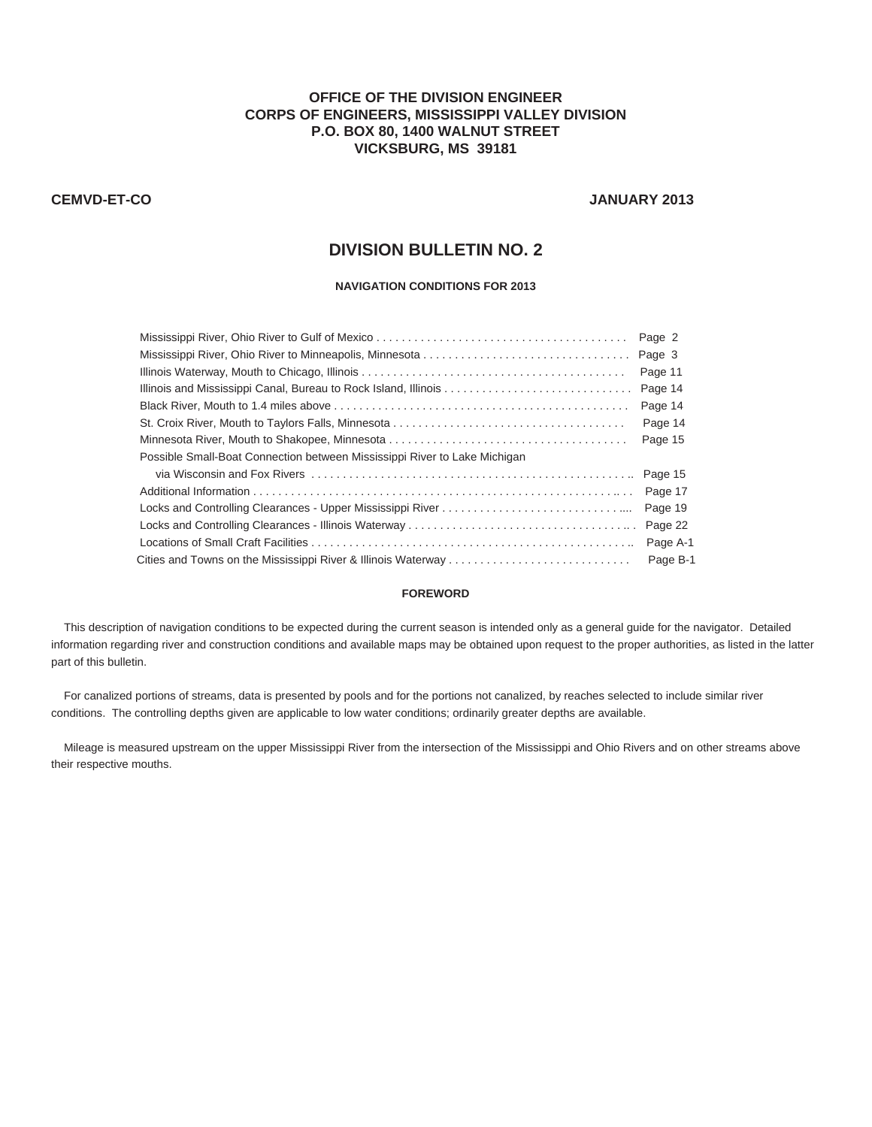# **OFFICE OF THE DIVISION ENGINEER CORPS OF ENGINEERS, MISSISSIPPI VALLEY DIVISION P.O. BOX 80, 1400 WALNUT STREET VICKSBURG, MS 39181**

# **CEMVD-ET-CO JANUARY 2013**

# **DIVISION BULLETIN NO. 2**

## **NAVIGATION CONDITIONS FOR 2013**

|                                                                           | Page 2   |
|---------------------------------------------------------------------------|----------|
|                                                                           | Page 3   |
|                                                                           | Page 11  |
| Illinois and Mississippi Canal, Bureau to Rock Island, Illinois           | Page 14  |
|                                                                           | Page 14  |
|                                                                           | Page 14  |
|                                                                           | Page 15  |
| Possible Small-Boat Connection between Mississippi River to Lake Michigan |          |
|                                                                           |          |
|                                                                           | Page 17  |
|                                                                           | Page 19  |
|                                                                           | Page 22  |
|                                                                           | Page A-1 |
|                                                                           | Page B-1 |

### **FOREWORD**

 This description of navigation conditions to be expected during the current season is intended only as a general guide for the navigator. Detailed information regarding river and construction conditions and available maps may be obtained upon request to the proper authorities, as listed in the latter part of this bulletin.

 For canalized portions of streams, data is presented by pools and for the portions not canalized, by reaches selected to include similar river conditions. The controlling depths given are applicable to low water conditions; ordinarily greater depths are available.

 Mileage is measured upstream on the upper Mississippi River from the intersection of the Mississippi and Ohio Rivers and on other streams above their respective mouths.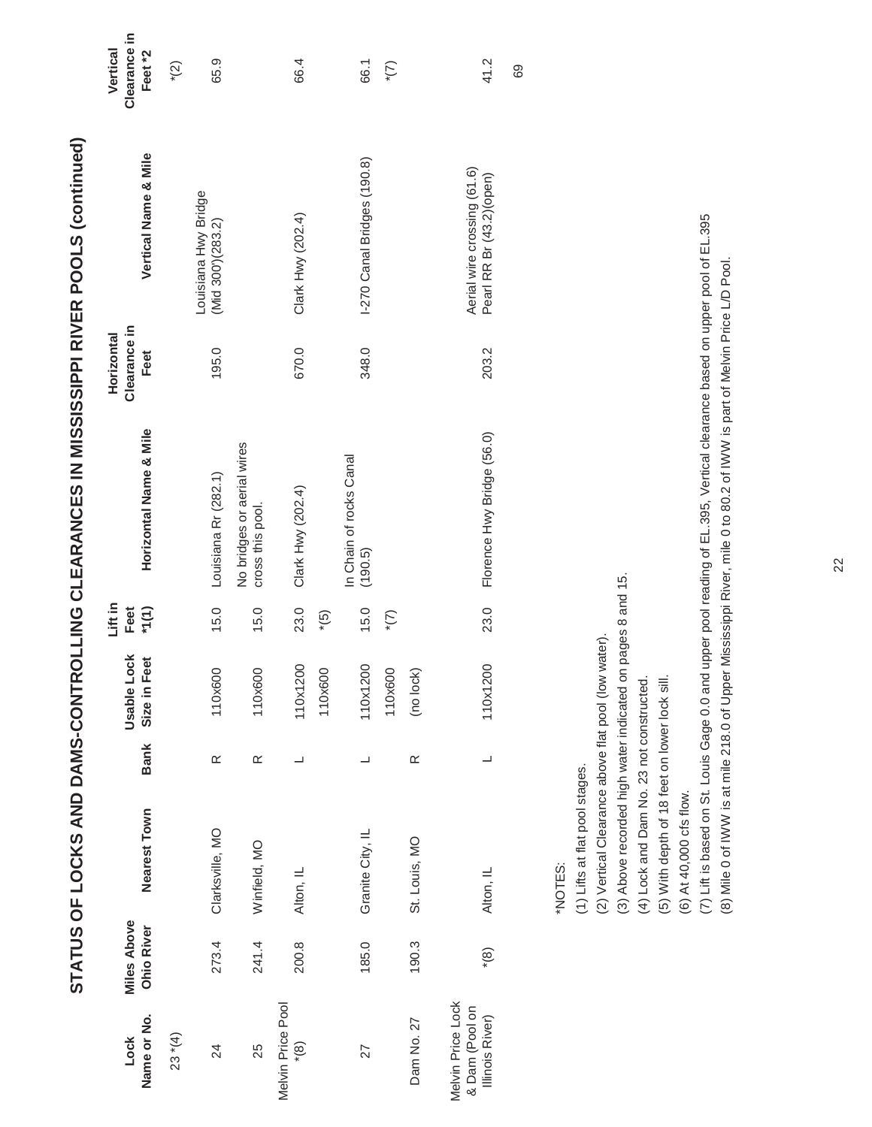|                                                        |                                         | STATUS OF LOCKS AND DAMS-CONTR                      |                          |                                 |                            |                                                |                                    | OLLING CLEARANCES IN MISSISSIPPI RIVER POOLS (continued) |                                     |
|--------------------------------------------------------|-----------------------------------------|-----------------------------------------------------|--------------------------|---------------------------------|----------------------------|------------------------------------------------|------------------------------------|----------------------------------------------------------|-------------------------------------|
| Name or No.<br>Lock                                    | <b>Miles Above</b><br><b>Ohio River</b> | Nearest Town                                        | <b>Bank</b>              | λò<br>Size in Feet<br>Usable Lo | Lift in<br>Feet<br>$*1(1)$ | Horizontal Name & Mile                         | Clearance in<br>Horizontal<br>Feet | Vertical Name & Mile                                     | Clearance in<br>Vertical<br>Feet *2 |
| $23*(4)$                                               |                                         |                                                     |                          |                                 |                            |                                                |                                    |                                                          | $*(2)$                              |
| 24                                                     | 273.4                                   | Clarksville, MO                                     | $\propto$                | 110x600                         | 15.0                       | Louisiana Rr (282.1)                           | 195.0                              | Louisiana Hwy Bridge<br>(Mid 300')(283.2)                | 65.9                                |
| 25                                                     | 241.4                                   | Winfield, MO                                        | $\simeq$                 | 110x60C                         | 15.0                       | No bridges or aerial wires<br>cross this pool. |                                    |                                                          |                                     |
| Melvin Price Pool<br>$*(8)$                            | 200.8                                   | Alton, IL                                           |                          | 110x1200                        | 23.0                       | Clark Hwy (202.4)                              | 670.0                              | Clark Hwy (202.4)                                        | 66.4                                |
|                                                        |                                         |                                                     |                          | 110x600                         | (5)                        |                                                |                                    |                                                          |                                     |
| 27                                                     | 185.0                                   | Granite City, IL                                    |                          | 110x1200                        | 15.0                       | In Chain of rocks Canal<br>(190.5)             | 348.0                              | I-270 Canal Bridges (190.8)                              | 66.1                                |
|                                                        |                                         |                                                     |                          | 110x60C                         | $\zeta)_{*}$               |                                                |                                    |                                                          | (2)                                 |
| Dam No. 27                                             | 190.3                                   | St. Louis, MO                                       | $\simeq$                 | (no lock)                       |                            |                                                |                                    |                                                          |                                     |
| Melvin Price Lock<br>& Dam (Pool on<br>Illinois River) | $*$ (8)                                 | Alton, IL                                           | $\overline{\phantom{0}}$ | 110x1200                        | 23.0                       | Florence Hwy Bridge (56.0)                     | 203.2                              | Aerial wire crossing (61.6)<br>Pearl RR Br (43.2)(open)  | 41.2                                |
|                                                        |                                         |                                                     |                          |                                 |                            |                                                |                                    |                                                          | 69                                  |
|                                                        |                                         | *NOTES:                                             |                          |                                 |                            |                                                |                                    |                                                          |                                     |
|                                                        |                                         | (1) Lifts at flat pool stages.                      |                          |                                 |                            |                                                |                                    |                                                          |                                     |
|                                                        |                                         | (2) Vertical Clearance above flat pool (low water). |                          |                                 |                            |                                                |                                    |                                                          |                                     |
|                                                        |                                         | (3) Above recorded high water indicated or          |                          |                                 | pages 8 and 15.            |                                                |                                    |                                                          |                                     |
|                                                        |                                         | (4) Lock and Dam No. 23 not constructed.            |                          |                                 |                            |                                                |                                    |                                                          |                                     |
|                                                        |                                         | (5) With depth of 18 feet on lower lock sill.       |                          |                                 |                            |                                                |                                    |                                                          |                                     |
|                                                        |                                         | (6) At 40,000 cfs flow.                             |                          |                                 |                            |                                                |                                    |                                                          |                                     |

(7) Lift is based on St. Louis Gage 0.0 and upper pool reading of EL.395, Vertical clearance based on upper pool of EL.395<br>(8) Mile 0 of IWW is at mile 218.0 of Upper Mississippi River, mile 0 to 80.2 of IWW is part of Mel